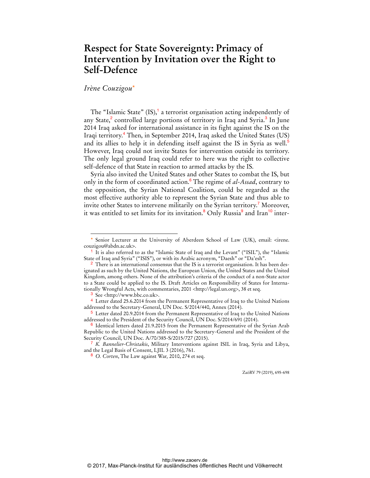## **Respect for State Sovereignty: Primacy of Intervention by Invitation over the Right to Self-Defence**

## *Irène Couzigou*\*

The "Islamic State"  $(IS)$ ,<sup>1</sup> a terrorist organisation acting independently of any State,<sup>2</sup> controlled large portions of territory in Iraq and Syria.<sup>3</sup> In June 2014 Iraq asked for international assistance in its fight against the IS on the Iraqi territory.<sup>4</sup> Then, in September 2014, Iraq asked the United States (US) and its allies to help it in defending itself against the IS in Syria as well.<sup>5</sup> However, Iraq could not invite States for intervention outside its territory. The only legal ground Iraq could refer to here was the right to collective self-defence of that State in reaction to armed attacks by the IS.

Syria also invited the United States and other States to combat the IS, but only in the form of coordinated action.<sup>6</sup> The regime of *al-Assad*, contrary to the opposition, the Syrian National Coalition, could be regarded as the most effective authority able to represent the Syrian State and thus able to invite other States to intervene militarily on the Syrian territory.<sup>7</sup> Moreover, it was entitled to set limits for its invitation.<sup>8</sup> Only Russia<sup>9</sup> and Iran<sup>10</sup> inter-

 $\overline{a}$ 

ZaöRV 79 (2019), 695-698

Senior Lecturer at the University of Aberdeen School of Law (UK), email: <irene. couzigou@abdn.ac.uk>.

<sup>1</sup> It is also referred to as the "Islamic State of Iraq and the Levant" ("ISIL"), the "Islamic State of Iraq and Syria" ("ISIS"), or with its Arabic acronym, "Daesh" or "Da'esh".

<sup>&</sup>lt;sup>2</sup> There is an international consensus that the IS is a terrorist organisation. It has been designated as such by the United Nations, the European Union, the United States and the United Kingdom, among others. None of the attribution's criteria of the conduct of a non-State actor to a State could be applied to the IS. Draft Articles on Responsibility of States for Internationally Wrongful Acts, with commentaries, 2001 <http://legal.un.org>, 38 et seq.

<sup>&</sup>lt;sup>3</sup> See <http://www.bbc.co.uk>.

<sup>4</sup> Letter dated 25.6.2014 from the Permanent Representative of Iraq to the United Nations addressed to the Secretary-General, UN Doc. S/2014/440, Annex (2014).

<sup>5</sup> Letter dated 20.9.2014 from the Permanent Representative of Iraq to the United Nations addressed to the President of the Security Council, UN Doc. S/2014/691 (2014).

<sup>6</sup> Identical letters dated 21.9.2015 from the Permanent Representative of the Syrian Arab Republic to the United Nations addressed to the Secretary-General and the President of the Security Council, UN Doc. A/70/385-S/2015/727 (2015).

<sup>7</sup> *K. Bannelier-Christakis*, Military Interventions against ISIL in Iraq, Syria and Libya, and the Legal Basis of Consent, LJIL 3 (2016), 761.

<sup>8</sup> *O. Corten*, The Law against War*,* 2010, 274 et seq.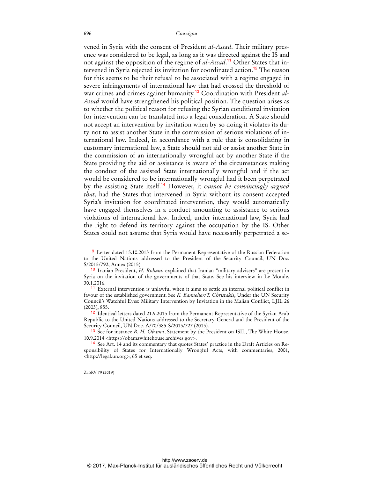vened in Syria with the consent of President *al-Assad*. Their military presence was considered to be legal, as long as it was directed against the IS and not against the opposition of the regime of *al-Assad*. 11 Other States that intervened in Syria rejected its invitation for coordinated action.<sup>12</sup> The reason for this seems to be their refusal to be associated with a regime engaged in severe infringements of international law that had crossed the threshold of war crimes and crimes against humanity.13 Coordination with President *al-Assad* would have strengthened his political position. The question arises as to whether the political reason for refusing the Syrian conditional invitation for intervention can be translated into a legal consideration. A State should not accept an intervention by invitation when by so doing it violates its duty not to assist another State in the commission of serious violations of international law. Indeed, in accordance with a rule that is consolidating in customary international law, a State should not aid or assist another State in the commission of an internationally wrongful act by another State if the State providing the aid or assistance is aware of the circumstances making the conduct of the assisted State internationally wrongful and if the act would be considered to be internationally wrongful had it been perpetrated by the assisting State itself.<sup>14</sup> However, it *cannot be convincingly argued that*, had the States that intervened in Syria without its consent accepted Syria's invitation for coordinated intervention, they would automatically have engaged themselves in a conduct amounting to assistance to serious violations of international law. Indeed, under international law, Syria had the right to defend its territory against the occupation by the IS. Other States could not assume that Syria would have necessarily perpetrated a se-

ZaöRV 79 (2019)

 $\overline{a}$ 

<sup>9</sup> Letter dated 15.10.2015 from the Permanent Representative of the Russian Federation to the United Nations addressed to the President of the Security Council, UN Doc. S/2015/792, Annex (2015).

<sup>10</sup> Iranian President, *H. Rohani*, explained that Iranian "military advisers" are present in Syria on the invitation of the governments of that State. See his interview in Le Monde, 30.1.2016.

<sup>11</sup> External intervention is unlawful when it aims to settle an internal political conflict in favour of the established government. See *K. Bannelier/T. Christakis*, Under the UN Security Council's Watchful Eyes: Military Intervention by Invitation in the Malian Conflict, LJIL 26 (2003), 855.

<sup>&</sup>lt;sup>12</sup> Identical letters dated 21.9.2015 from the Permanent Representative of the Syrian Arab Republic to the United Nations addressed to the Secretary-General and the President of the Security Council, UN Doc. A/70/385-S/2015/727 (2015).

<sup>13</sup> See for instance *B. H. Obama*, Statement by the President on ISIL, The White House, 10.9.2014 <https://obamawhitehouse.archives.gov>.

<sup>&</sup>lt;sup>14</sup> See Art. 14 and its commentary that quotes States' practice in the Draft Articles on Responsibility of States for Internationally Wrongful Acts, with commentaries, 2001, http://legal.un.org, 65 et seq.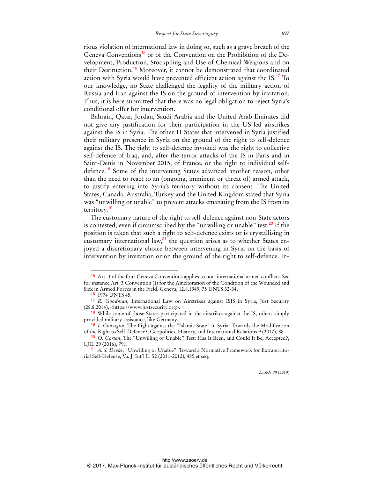rious violation of international law in doing so, such as a grave breach of the Geneva Conventions<sup>15</sup> or of the Convention on the Prohibition of the Development, Production, Stockpiling and Use of Chemical Weapons and on their Destruction.<sup>16</sup> Moreover, it cannot be demonstrated that coordinated action with Syria would have prevented efficient action against the  $IS^{17}$  To our knowledge, no State challenged the legality of the military action of Russia and Iran against the IS on the ground of intervention by invitation. Thus, it is here submitted that there was no legal obligation to reject Syria's conditional offer for intervention.

Bahrain, Qatar, Jordan, Saudi Arabia and the United Arab Emirates did not give any justification for their participation in the US-led airstrikes against the IS in Syria. The other 11 States that intervened in Syria justified their military presence in Syria on the ground of the right to self-defence against the IS. The right to self-defence invoked was the right to collective self-defence of Iraq, and, after the terror attacks of the IS in Paris and in Saint-Denis in November 2015, of France, or the right to individual selfdefence.<sup>18</sup> Some of the intervening States advanced another reason, other than the need to react to an (ongoing, imminent or threat of) armed attack, to justify entering into Syria's territory without its consent. The United States, Canada, Australia, Turkey and the United Kingdom stated that Syria was "unwilling or unable" to prevent attacks emanating from the IS from its territory.<sup>19</sup>

The customary nature of the right to self-defence against non-State actors is contested, even if circumscribed by the "unwilling or unable" test.<sup>20</sup> If the position is taken that such a right to self-defence exists or is crystallising in customary international law,<sup>21</sup> the question arises as to whether States enjoyed a discretionary choice between intervening in Syria on the basis of intervention by invitation or on the ground of the right to self-defence. In-

 $\overline{a}$ 

ZaöRV 79 (2019)

<sup>15</sup> Art. 3 of the four Geneva Conventions applies to non-international armed conflicts. See for instance Art. 3 Convention (I) for the Amelioration of the Condition of the Wounded and Sick in Armed Forces in the Field. Geneva, 12.8.1949, 75 UNTS 32-34.

<sup>16</sup> 1974 UNTS 45.

<sup>17</sup> *R. Goodman*, International Law on Airstrikes against ISIS in Syria, Just Security  $(28.8.2014)$ , <https://www.justsecurity.org>.

<sup>&</sup>lt;sup>18</sup> While some of those States participated in the airstrikes against the IS, others simply provided military assistance, like Germany.

<sup>19</sup> *I. Couzigou*, The Fight against the "Islamic State" in Syria: Towards the Modification of the Right to Self-Defence?, Geopolitics, History, and International Relations 9 (2017), 88.

<sup>20</sup> *O. Corten*, The ''Unwilling or Unable'' Test: Has It Been, and Could It Be, Accepted?, LJIL 29 (2016), 791.

<sup>21</sup> *A. S. Deeks*, "Unwilling or Unable": Toward a Normative Framework for Extraterritorial Self-Defense, Va. J. Int'l L. 52 (2011-2012), 485 et seq.